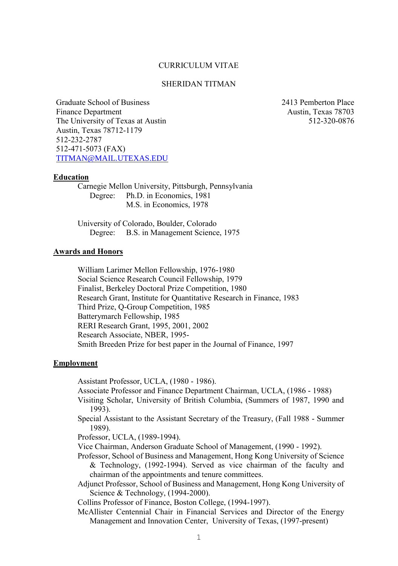## CURRICULUM VITAE

# SHERIDAN TITMAN

Graduate School of Business Finance Department The University of Texas at Austin Austin, Texas 78712-1179 512-232-2787 512-471-5073 (FAX) [TITMAN@MAIL.UTEXAS.EDU](mailto:TITMAN@MAIL.UTEXAS.EDU) 2413 Pemberton Place Austin, Texas 78703 512-320-0876

#### **Education**

Carnegie Mellon University, Pittsburgh, Pennsylvania Degree: Ph.D. in Economics, 1981 M.S. in Economics, 1978

University of Colorado, Boulder, Colorado Degree: B.S. in Management Science, 1975

## **Awards and Honors**

William Larimer Mellon Fellowship, 1976-1980 Social Science Research Council Fellowship, 1979 Finalist, Berkeley Doctoral Prize Competition, 1980 Research Grant, Institute for Quantitative Research in Finance, 1983 Third Prize, Q-Group Competition, 1985 Batterymarch Fellowship, 1985 RERI Research Grant, 1995, 2001, 2002 Research Associate, NBER, 1995- Smith Breeden Prize for best paper in the Journal of Finance, 1997

### **Employment**

Assistant Professor, UCLA, (1980 - 1986).

Associate Professor and Finance Department Chairman, UCLA, (1986 - 1988)

- Visiting Scholar, University of British Columbia, (Summers of 1987, 1990 and 1993).
- Special Assistant to the Assistant Secretary of the Treasury, (Fall 1988 Summer 1989).

Professor, UCLA, (1989-1994).

- Vice Chairman, Anderson Graduate School of Management, (1990 1992).
- Professor, School of Business and Management, Hong Kong University of Science & Technology, (1992-1994). Served as vice chairman of the faculty and chairman of the appointments and tenure committees.
- Adjunct Professor, School of Business and Management, Hong Kong University of Science & Technology, (1994-2000).

Collins Professor of Finance, Boston College, (1994-1997).

McAllister Centennial Chair in Financial Services and Director of the Energy Management and Innovation Center, University of Texas, (1997-present)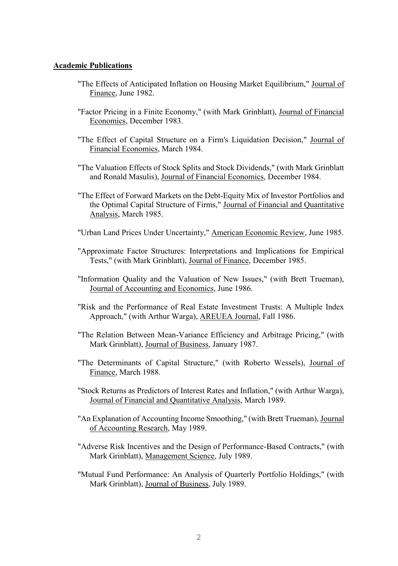## **Academic Publications**

- "The Effects of Anticipated Inflation on Housing Market Equilibrium," Journal of Finance, June 1982.
- "Factor Pricing in a Finite Economy," (with Mark Grinblatt), Journal of Financial Economics, December 1983.
- "The Effect of Capital Structure on a Firm's Liquidation Decision," Journal of Financial Economics, March 1984.
- "The Valuation Effects of Stock Splits and Stock Dividends," (with Mark Grinblatt and Ronald Masulis), Journal of Financial Economics, December 1984.
- "The Effect of Forward Markets on the Debt-Equity Mix of Investor Portfolios and the Optimal Capital Structure of Firms," Journal of Financial and Quantitative Analysis, March 1985.
- "Urban Land Prices Under Uncertainty," American Economic Review, June 1985.
- "Approximate Factor Structures: Interpretations and Implications for Empirical Tests," (with Mark Grinblatt), Journal of Finance, December 1985.
- "Information Quality and the Valuation of New Issues," (with Brett Trueman), Journal of Accounting and Economics, June 1986.
- "Risk and the Performance of Real Estate Investment Trusts: A Multiple Index Approach," (with Arthur Warga), AREUEA Journal, Fall 1986.
- "The Relation Between Mean-Variance Efficiency and Arbitrage Pricing," (with Mark Grinblatt), Journal of Business, January 1987.
- "The Determinants of Capital Structure," (with Roberto Wessels), Journal of Finance, March 1988.
- "Stock Returns as Predictors of Interest Rates and Inflation," (with Arthur Warga), Journal of Financial and Quantitative Analysis, March 1989.
- "An Explanation of Accounting Income Smoothing," (with Brett Trueman), Journal of Accounting Research, May 1989.
- "Adverse Risk Incentives and the Design of Performance-Based Contracts," (with Mark Grinblatt), Management Science, July 1989.
- "Mutual Fund Performance: An Analysis of Quarterly Portfolio Holdings," (with Mark Grinblatt), Journal of Business, July 1989.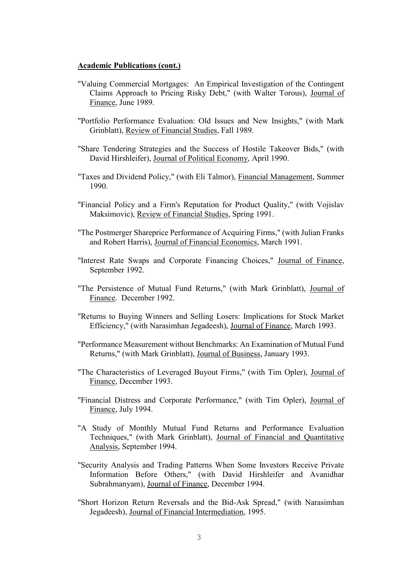- "Valuing Commercial Mortgages: An Empirical Investigation of the Contingent Claims Approach to Pricing Risky Debt," (with Walter Torous), Journal of Finance, June 1989.
- "Portfolio Performance Evaluation: Old Issues and New Insights," (with Mark Grinblatt), Review of Financial Studies, Fall 1989.
- "Share Tendering Strategies and the Success of Hostile Takeover Bids," (with David Hirshleifer), Journal of Political Economy, April 1990.
- "Taxes and Dividend Policy," (with Eli Talmor), Financial Management, Summer 1990.
- "Financial Policy and a Firm's Reputation for Product Quality," (with Vojislav Maksimovic), Review of Financial Studies, Spring 1991.
- "The Postmerger Shareprice Performance of Acquiring Firms," (with Julian Franks and Robert Harris), Journal of Financial Economics, March 1991.
- "Interest Rate Swaps and Corporate Financing Choices," Journal of Finance, September 1992.
- "The Persistence of Mutual Fund Returns," (with Mark Grinblatt), Journal of Finance. December 1992.
- "Returns to Buying Winners and Selling Losers: Implications for Stock Market Efficiency," (with Narasimhan Jegadeesh), Journal of Finance, March 1993.
- "Performance Measurement without Benchmarks: An Examination of Mutual Fund Returns," (with Mark Grinblatt), Journal of Business, January 1993.
- "The Characteristics of Leveraged Buyout Firms," (with Tim Opler), Journal of Finance, December 1993.
- "Financial Distress and Corporate Performance," (with Tim Opler), Journal of Finance, July 1994.
- "A Study of Monthly Mutual Fund Returns and Performance Evaluation Techniques," (with Mark Grinblatt), Journal of Financial and Quantitative Analysis, September 1994.
- "Security Analysis and Trading Patterns When Some Investors Receive Private Information Before Others," (with David Hirshleifer and Avanidhar Subrahmanyam), Journal of Finance, December 1994.
- "Short Horizon Return Reversals and the Bid-Ask Spread," (with Narasimhan Jegadeesh), Journal of Financial Intermediation, 1995.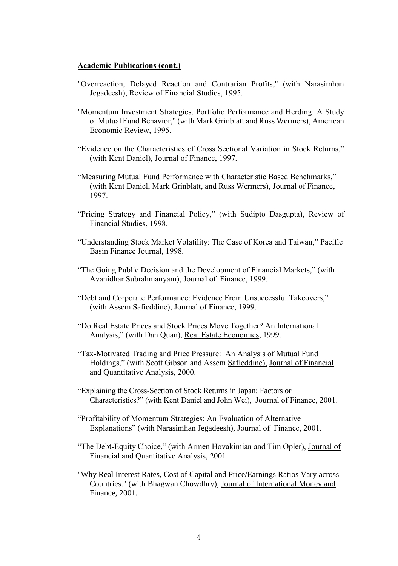- "Overreaction, Delayed Reaction and Contrarian Profits," (with Narasimhan Jegadeesh), Review of Financial Studies, 1995.
- "Momentum Investment Strategies, Portfolio Performance and Herding: A Study of Mutual Fund Behavior," (with Mark Grinblatt and Russ Wermers), American Economic Review, 1995.
- "Evidence on the Characteristics of Cross Sectional Variation in Stock Returns," (with Kent Daniel), Journal of Finance, 1997.
- "Measuring Mutual Fund Performance with Characteristic Based Benchmarks," (with Kent Daniel, Mark Grinblatt, and Russ Wermers), Journal of Finance, 1997.
- "Pricing Strategy and Financial Policy," (with Sudipto Dasgupta), Review of Financial Studies, 1998.
- "Understanding Stock Market Volatility: The Case of Korea and Taiwan," Pacific Basin Finance Journal, 1998.
- "The Going Public Decision and the Development of Financial Markets," (with Avanidhar Subrahmanyam), Journal of Finance, 1999.
- "Debt and Corporate Performance: Evidence From Unsuccessful Takeovers," (with Assem Safieddine), Journal of Finance, 1999.
- "Do Real Estate Prices and Stock Prices Move Together? An International Analysis," (with Dan Quan), Real Estate Economics, 1999.
- "Tax-Motivated Trading and Price Pressure: An Analysis of Mutual Fund Holdings," (with Scott Gibson and Assem Safieddine), Journal of Financial and Quantitative Analysis, 2000.
- "Explaining the Cross-Section of Stock Returns in Japan: Factors or Characteristics?" (with Kent Daniel and John Wei), Journal of Finance, 2001.
- "Profitability of Momentum Strategies: An Evaluation of Alternative Explanations" (with Narasimhan Jegadeesh), Journal of Finance, 2001.
- "The Debt-Equity Choice," (with Armen Hovakimian and Tim Opler), Journal of Financial and Quantitative Analysis, 2001.
- "Why Real Interest Rates, Cost of Capital and Price/Earnings Ratios Vary across Countries." (with Bhagwan Chowdhry), Journal of International Money and Finance, 2001.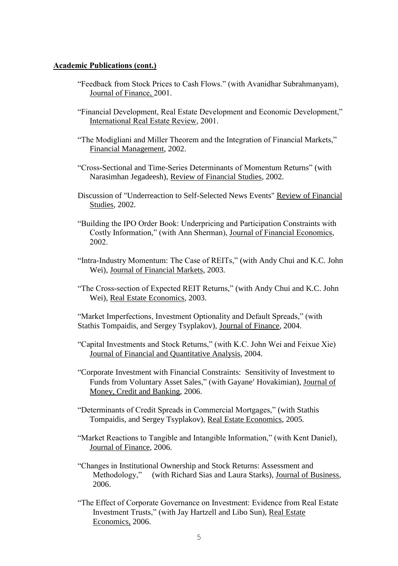- "Feedback from Stock Prices to Cash Flows." (with Avanidhar Subrahmanyam), Journal of Finance, 2001.
- "Financial Development, Real Estate Development and Economic Development," International Real Estate Review, 2001.
- "The Modigliani and Miller Theorem and the Integration of Financial Markets," Financial Management, 2002.
- "Cross-Sectional and Time-Series Determinants of Momentum Returns" (with Narasimhan Jegadeesh), Review of Financial Studies, 2002.
- Discussion of "Underreaction to Self-Selected News Events" Review of Financial Studies, 2002.
- "Building the IPO Order Book: Underpricing and Participation Constraints with Costly Information," (with Ann Sherman), Journal of Financial Economics, 2002.
- "Intra-Industry Momentum: The Case of REITs," (with Andy Chui and K.C. John Wei), Journal of Financial Markets, 2003.
- "The Cross-section of Expected REIT Returns," (with Andy Chui and K.C. John Wei), Real Estate Economics, 2003.

"Market Imperfections, Investment Optionality and Default Spreads," (with Stathis Tompaidis, and Sergey Tsyplakov), Journal of Finance, 2004.

- "Capital Investments and Stock Returns," (with K.C. John Wei and Feixue Xie) Journal of Financial and Quantitative Analysis, 2004.
- "Corporate Investment with Financial Constraints: Sensitivity of Investment to Funds from Voluntary Asset Sales," (with Gayane' Hovakimian), Journal of Money, Credit and Banking, 2006.
- "Determinants of Credit Spreads in Commercial Mortgages," (with Stathis Tompaidis, and Sergey Tsyplakov), Real Estate Economics, 2005.
- "Market Reactions to Tangible and Intangible Information," (with Kent Daniel), Journal of Finance, 2006.
- "Changes in Institutional Ownership and Stock Returns: Assessment and (with Richard Sias and Laura Starks), Journal of Business, 2006.
- "The Effect of Corporate Governance on Investment: Evidence from Real Estate Investment Trusts," (with Jay Hartzell and Libo Sun), Real Estate Economics, 2006.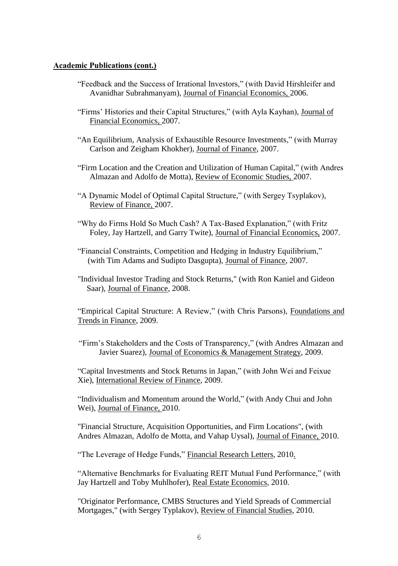- "Feedback and the Success of Irrational Investors," (with David Hirshleifer and Avanidhar Subrahmanyam), Journal of Financial Economics, 2006.
- "Firms' Histories and their Capital Structures," (with Ayla Kayhan), Journal of Financial Economics, 2007.
- "An Equilibrium, Analysis of Exhaustible Resource Investments," (with Murray Carlson and Zeigham Khokher), Journal of Finance, 2007.
- "Firm Location and the Creation and Utilization of Human Capital," (with Andres Almazan and Adolfo de Motta), Review of Economic Studies, 2007.
- "A Dynamic Model of Optimal Capital Structure," (with Sergey Tsyplakov), Review of Finance, 2007.
- "Why do Firms Hold So Much Cash? A Tax-Based Explanation," (with Fritz Foley, Jay Hartzell, and Garry Twite), Journal of Financial Economics, 2007.
- "Financial Constraints, Competition and Hedging in Industry Equilibrium," (with Tim Adams and Sudipto Dasgupta), Journal of Finance, 2007.
- "Individual Investor Trading and Stock Returns," (with Ron Kaniel and Gideon Saar), Journal of Finance, 2008.

"Empirical Capital Structure: A Review," (with Chris Parsons), Foundations and Trends in Finance, 2009.

"Firm's Stakeholders and the Costs of Transparency," (with Andres Almazan and Javier Suarez), Journal of Economics & Management Strategy, 2009.

"Capital Investments and Stock Returns in Japan," (with John Wei and Feixue Xie), International Review of Finance, 2009.

"Individualism and Momentum around the World," (with Andy Chui and John Wei), Journal of Finance, 2010.

"Financial Structure, Acquisition Opportunities, and Firm Locations", (with Andres Almazan, Adolfo de Motta, and Vahap Uysal), Journal of Finance, 2010.

"The Leverage of Hedge Funds," Financial Research Letters, 2010.

"Alternative Benchmarks for Evaluating REIT Mutual Fund Performance," (with Jay Hartzell and Toby Muhlhofer), Real Estate Economics, 2010.

"Originator Performance, CMBS Structures and Yield Spreads of Commercial Mortgages," (with Sergey Typlakov), Review of Financial Studies, 2010.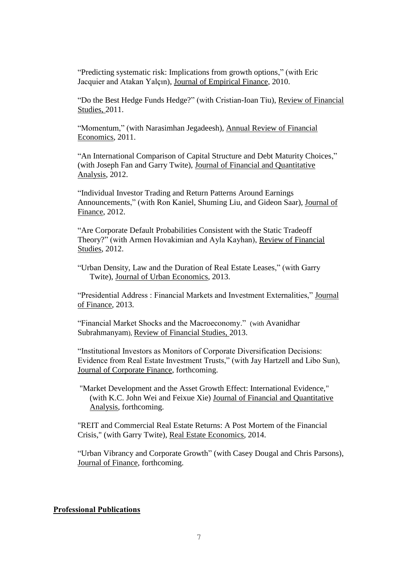"Predicting systematic risk: Implications from growth options," (with Eric Jacquier and Atakan Yalçın), Journal of Empirical Finance, 2010.

"Do the Best Hedge Funds Hedge?" (with Cristian-Ioan Tiu), Review of Financial Studies, 2011.

"Momentum," (with Narasimhan Jegadeesh), Annual Review of Financial Economics, 2011.

"An International Comparison of Capital Structure and Debt Maturity Choices," (with Joseph Fan and Garry Twite), Journal of Financial and Quantitative Analysis, 2012.

"Individual Investor Trading and Return Patterns Around Earnings Announcements," (with Ron Kaniel, Shuming Liu, and Gideon Saar), Journal of Finance, 2012.

"Are Corporate Default Probabilities Consistent with the Static Tradeoff Theory?" (with Armen Hovakimian and Ayla Kayhan), Review of Financial Studies, 2012.

"Urban Density, Law and the Duration of Real Estate Leases," (with Garry Twite), Journal of Urban Economics, 2013.

"Presidential Address : Financial Markets and Investment Externalities," Journal of Finance, 2013.

"Financial Market Shocks and the Macroeconomy." (with Avanidhar Subrahmanyam), Review of Financial Studies, 2013.

"Institutional Investors as Monitors of Corporate Diversification Decisions: Evidence from Real Estate Investment Trusts," (with Jay Hartzell and Libo Sun), Journal of Corporate Finance, forthcoming.

"Market Development and the Asset Growth Effect: International Evidence," (with K.C. John Wei and Feixue Xie) Journal of Financial and Quantitative Analysis, forthcoming.

"REIT and Commercial Real Estate Returns: A Post Mortem of the Financial Crisis," (with Garry Twite), Real Estate Economics, 2014.

"Urban Vibrancy and Corporate Growth" (with Casey Dougal and Chris Parsons), Journal of Finance, forthcoming.

#### **Professional Publications**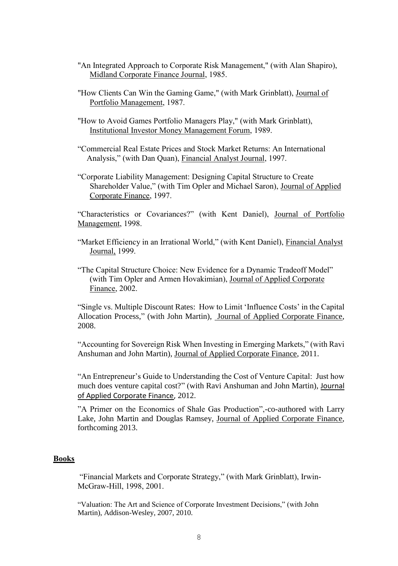- "An Integrated Approach to Corporate Risk Management," (with Alan Shapiro), Midland Corporate Finance Journal, 1985.
- "How Clients Can Win the Gaming Game," (with Mark Grinblatt), Journal of Portfolio Management, 1987.
- "How to Avoid Games Portfolio Managers Play," (with Mark Grinblatt), Institutional Investor Money Management Forum, 1989.
- "Commercial Real Estate Prices and Stock Market Returns: An International Analysis," (with Dan Quan), Financial Analyst Journal, 1997.
- "Corporate Liability Management: Designing Capital Structure to Create Shareholder Value," (with Tim Opler and Michael Saron), Journal of Applied Corporate Finance, 1997.

"Characteristics or Covariances?" (with Kent Daniel), Journal of Portfolio Management, 1998.

- "Market Efficiency in an Irrational World," (with Kent Daniel), Financial Analyst Journal, 1999.
- "The Capital Structure Choice: New Evidence for a Dynamic Tradeoff Model" (with Tim Opler and Armen Hovakimian), Journal of Applied Corporate Finance, 2002.

"Single vs. Multiple Discount Rates: How to Limit 'Influence Costs' in the Capital Allocation Process," (with John Martin), Journal of Applied Corporate Finance, 2008.

"Accounting for Sovereign Risk When Investing in Emerging Markets," (with Ravi Anshuman and John Martin), Journal of Applied Corporate Finance, 2011.

"An Entrepreneur's Guide to Understanding the Cost of Venture Capital: Just how much does venture capital cost?" (with Ravi Anshuman and John Martin), Journal of Applied Corporate Finance, 2012.

"A Primer on the Economics of Shale Gas Production",-co-authored with Larry Lake, John Martin and Douglas Ramsey, Journal of Applied Corporate Finance, forthcoming 2013.

# **Books**

"Financial Markets and Corporate Strategy," (with Mark Grinblatt), Irwin-McGraw-Hill, 1998, 2001.

"Valuation: The Art and Science of Corporate Investment Decisions," (with John Martin), Addison-Wesley, 2007, 2010.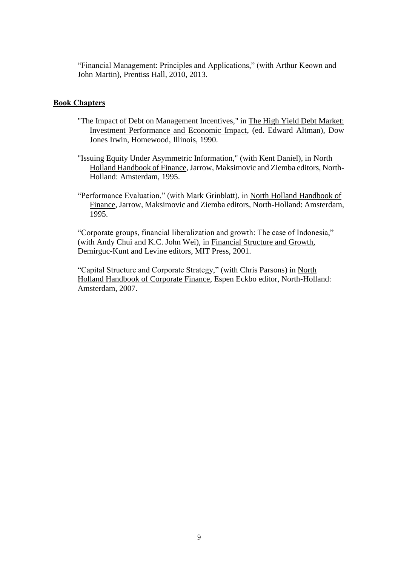"Financial Management: Principles and Applications," (with Arthur Keown and John Martin), Prentiss Hall, 2010, 2013.

# **Book Chapters**

- "The Impact of Debt on Management Incentives," in The High Yield Debt Market: Investment Performance and Economic Impact, (ed. Edward Altman), Dow Jones Irwin, Homewood, Illinois, 1990.
- "Issuing Equity Under Asymmetric Information," (with Kent Daniel), in North Holland Handbook of Finance, Jarrow, Maksimovic and Ziemba editors, North-Holland: Amsterdam, 1995.
- "Performance Evaluation," (with Mark Grinblatt), in North Holland Handbook of Finance, Jarrow, Maksimovic and Ziemba editors, North-Holland: Amsterdam, 1995.

"Corporate groups, financial liberalization and growth: The case of Indonesia," (with Andy Chui and K.C. John Wei), in Financial Structure and Growth, Demirguc-Kunt and Levine editors, MIT Press, 2001.

"Capital Structure and Corporate Strategy," (with Chris Parsons) in North Holland Handbook of Corporate Finance, Espen Eckbo editor, North-Holland: Amsterdam, 2007.